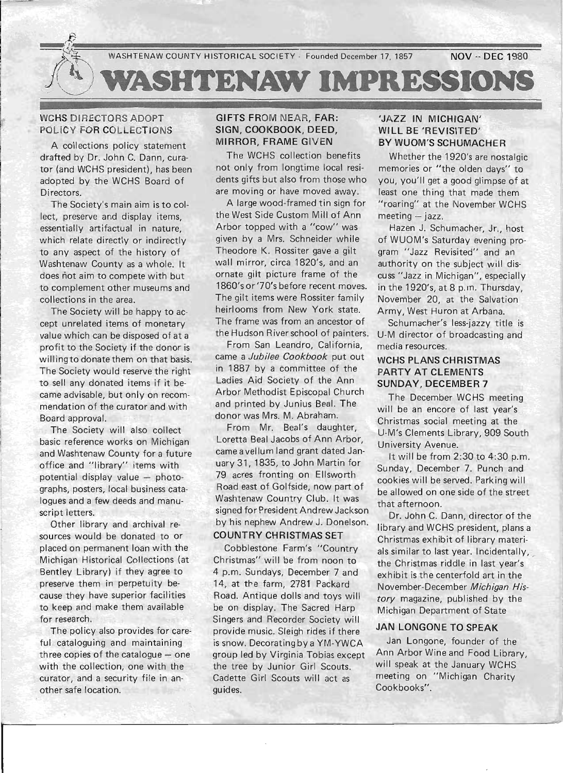

### WCHS DIRECTORS ADOPT POLICY FOR COLLECTIONS

A collections policy statement drafted by Dr. John C. Dann, curator (and WCHS president), has been adopted by the WCHS Board of Directors.

The Society's main aim is to collect, preserve and display items, essentially artifactual in nature, which relate directly or indirectly to any aspect of the history of Washtenaw County as a whole. It does not aim to compete with but to complement other museums and collections in the area.

The Society will be happy to accept unrelated items of monetary value which can be disposed of at a profit to the Society if the donor is willingto donate them on that basis. The Society would reserve the right to sell any donated items if it became advisable, but only on recommendation of the curator and with Board approval.

The Society will also collect basic reference works on Michigan and Washtenaw County for a future office and "library" items with potential display value  $-$  photographs, posters, local business catalogues and a few deeds and manuscript letters.

Other library and archival resources would be donated to or placed on permanent loan with the Michigan Historical Collections (at Bentley Library) if they agree to preserve them in perpetuity because they have superior facilities to keep and make them available for research.

The policy also provides for careful cataloguing and maintaining three copies of the catalogue  $-$  one with the collection, one with the curator, and a security file in another safe location.

### GIFTS FROM NEAR, FAR: SIGN, COOKBOOK, DEED, MIRROR, FRAME GIVEN

The WCHS collection benefits not only from longtime local residents gifts but also from those who are moving or have moved away.

A large wood-framed tin sign for the West Side Custom Mill of Ann Arbor topped with a "cow" was given by a Mrs. Schneider while Theodore K. Rossiter gave a gilt wall mirror, circa 1820's, and an ornate gilt picture frame of the 1860's or '70's before recent moves. The gilt items were Rossiter family heirlooms from New York state. The frame was from an ancestor of the Hudson River school of painters.

From San Leandro, California, came a Jubilee Cookbook put out in 1887 by a committee of the Ladies Aid Society of the Ann Arbor Methodist Episcopal Church and printed by Junius Beal. The donor was Mrs. M. Abraham.

From Mr. Beal's daughter, Loretta Beal Jacobs of Ann Arbor, came a vellum land grant dated January 31, 1835, to John Martin for 79 acres fronting on Ellsworth Road east of Golfside, now part of Washtenaw Country Club. It was signed for President Andrew Jackson by his nephew Andrew J. Donelson. COUNTRY CHRISTMAS SET

Cobblestone Farm's "Country Christmas" will be from noon to 4 p.m. Sundays, December 7 and 14, at the farm, 2781 Packard Road. Antique dolls and toys will be on display. The Sacred Harp Singers and Recorder Society will provide music. Sleigh rides if there is snow. Decorating by a YM-YWCA group led by Virginia Tobias except the tree by Junior Girl Scouts. Cadette Girl Scouts will act as guides.

### 'JAZZ IN MICHIGAN' WILL BE 'REVISITED' BY WUOM'S SCHUMACHER

Whether the 1920's are nostalgic memories or "the olden days" to you, you'll get a good glimpse of at least one thing that made them "roaring" at the November WCHS  $meeting - jazz$ .

Hazen J. Schumacher, Jr., host of WUOM's Saturday evening program "Jazz Revisited" and an authority on the subject will discuss "Jazz in Michigan", especially in the 1920's, at 8 p.m. Thursday, November 20, at the Salvation Army, West Huron at Arbana.

Schumacher's less-jazzy title is U-M director of broadcasting and media resources.

### WCHS PLANS CHRISTMAS PARTY AT CLEMENTS SUNDAY, DECEMBER 7

The December WCHS meeting will be an encore of last year's Christmas social meeting at the U-M's Clements Library, 909 South University Avenue.

It will be from  $2:30$  to  $4:30$  p.m. Sunday, December 7. Punch and cookies will be served. Parking will be allowed on one side of the street that afternoon.

Dr. John C. Dann, director of the library and WCHS president, plans a Christmas exhibit of library materi~ als similar to last year. Incidentally, the Christmas riddle in last year's exhibit is the centerfold art in the November-December Michigan His*tory* magazine, published by the Michigan Department of State

### JAN LONGONE TO SPEAK

Jan Longone, founder of the Ann Arbor Wine and Food Library, will speak at the January WCHS meeting on "Michigan Charity Cookbooks".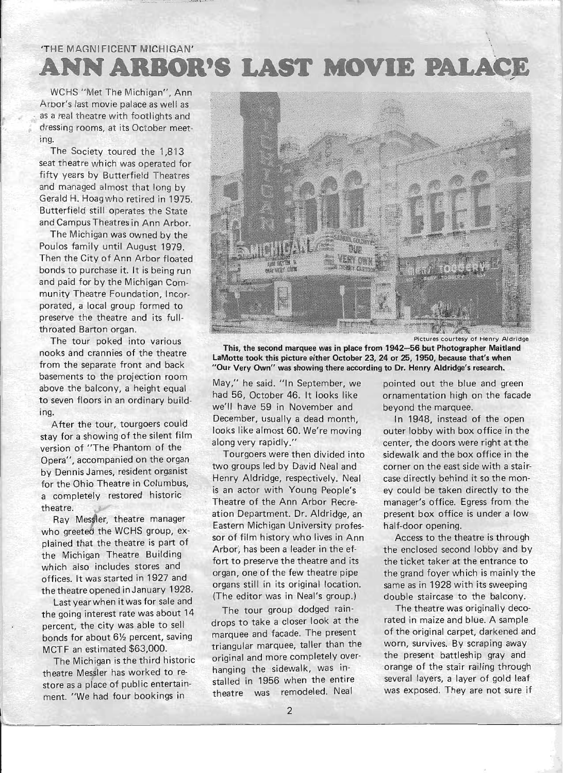# 'THE MAGNIFICENT MICHIGAN' **ANN ARBOR'S LAST MOVIE PALACE**

WCHS "Met The Michigan", Ann Arbor's last movie palace as well as as a real theatre with footlights and dressing rooms, at its October meeting.

The Society toured the 1,813 seat theatre which was operated for fifty years by Butterfield Theatres and managed almost that long by Gerald H. Hoagwho retired in 1975. Butterfield still operates the State and Campus Theatres in Ann Arbor.

The Michigan was owned by the Poulos family until August 1979. Then the City of Ann Arbor floated bonds to purchase it. It is being run and paid for by the Michigan Community Theatre Foundation, Incorporated, a local group formed to preserve the theatre and its fullth roated Barton organ.

The tour poked into various nooks and crannies of the theatre from the separate front and back basements to the projection room above the balcony, a height equal to seven floors in an ordinary building.

After the tour, tourgoers could stay for a showing of the silent film version of "The Phantom of the Opera", accompanied on the organ by Dennis James, resident organist for the Ohio Theatre in Columbus, a completely restored historic theatre.

Ray Messler, theatre manager who greeted the WCHS group, explained that the theatre is part of the Michigan Theatre Building which also includes stores and offices. It was started in 1927 and the theatre opened in January 1928.

Last year when it was for sale and the going interest rate was about 14 percent, the city was able to sell bonds for about 6% percent, saving MCTF an estimated \$63,000.

The Michigan is the third historic theatre Messler has worked to restore as a place of public entertainment. "We had four bookings in



. Pictures courtesy of Henry Aldridge

This, the second marquee was in place from 1942-56 but Photographer Maitland LaMotte took this picture either October 23, 24 or 25, 1950, because that's when "Our Very Own" was showing there according to Dr. Henry Aldridge's research.

May," he said. "In September, we pointed out the blue and green had 56, October 46. It looks like ornamentation high on the facade we'll have 59 in November and beyond the marquee. December, usually a dead month, In 1948, instead of the open looks like almost 60. We're moving outer lobby with box office in the along very rapidly." center, the doors were right at the

two groups led by David Neal and corner on the east side with a stair-Henry Aldridge, respectively. Neal case directly behind it so the monis an actor with Young People's ey could be taken directly to the Theatre of the Ann Arbor Recre- manager's office. Egress from the ation Department. Dr. Aldridge, an present box office is under a low Eastern Michigan University profes- half-door opening. sor of film history who lives in Ann Access to the theatre is through Arbor, has been a leader in the ef-<br>the enclosed second lobby and by fort to preserve the theatre and its the ticket taker at the entrance to organs still in its original location. same as in 1928 with its sweeping (The editor was in Neal's group.) double staircase to the balcony.

drops to take a closer look at the rated in maize and blue. A sample triangular marquee, taller than the worn, survives. By scraping away original and more completely over- the present battleship gray and hanging the sidewalk, was in- orange of the stair railing through stalled in 1956 when the entire several layers, a layer of gold leaf t heatre was remodeled. Neal was exposed. They are not sure if

Tourgoers were then divided into sidewalk and the box office in the

organ, one of the few theatre pipe the grand foyer which is mainly the

The tour group dodged rain-<br>The theatre was originally decomarquee and facade. The present of the original carpet, darkened and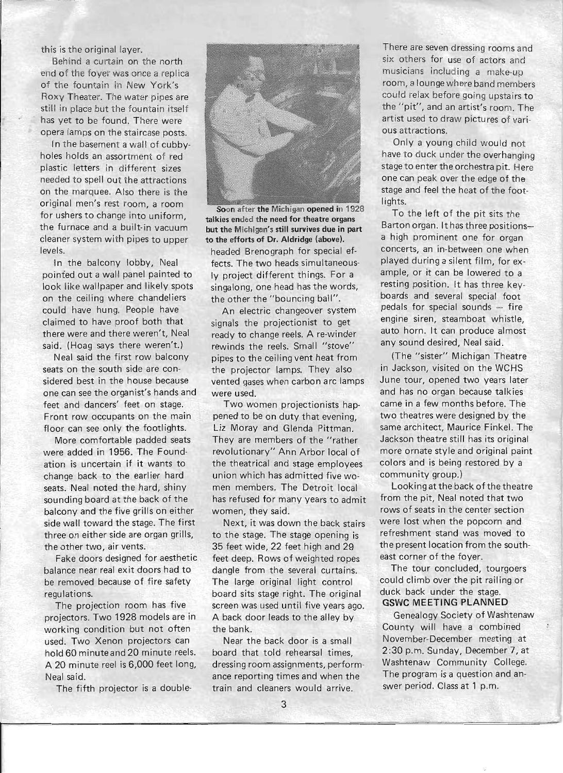this is the original layer.

Behind a curtain on the north end of the foyer was once a replica of the fountain in New York's Roxy Theater. The water pipes are still in place but the fountain itself has yet to be found. There were opera lamps on the staircase posts.

In the basement a wall of cubbyholes holds an assortment of red plastic letters in different sizes needed to spell out the attractions on the marquee. Also there is the original men's rest room, a room for ushers to change into uniform, the furnace and a built-in vacuum cleaner system with pipes to upper levels.

In the balcony lobby, Neal pointed out a wall panel painted to look like wallpaper and likely spots on the ceiling where chandeliers could have hung. People have claimed to have proof both that there were and there weren't, Neal said. (Hoag says there weren't.)

Neal said the first row balcony seats on the south side are considered best in the house because one can see the organist's hands and feet and dancers' feet on stage. Front row occupants on the main floor can see only the footlights.

More comfortable padded seats were added in 1956. The Foundation is uncertain if it wants to change back to the earlier hard seats. Neal noted the hard, shiny sounding board at the back of the balcony and the five grills on either side wall toward the stage. The first three on either side are organ grills, the other two, air vents.

Fake doors designed for aesthetic balance near real exit doors had to be removed because of fire safety regulations.

The projection room has five projectors. Two 1928 models are in working condition but not often used. Two Xenon projectors can hold 60 minute and 20 minute reels. A 20 minute reel is 6,000 feet long, Neal said.

The fifth projector is a double-



Soon after the Michigan opened in 1928 talkies ended the need for theatre organs but the Michigan's still survives due in part to the efforts of Dr. Aldridge (above).

headed Brenograph for special effects. The two heads simultaneously project different things. For a singalong, one head has the words, the other the "bouncing ball".

An electric changeover system signals the projectionist to get ready to change reels. A re-winder rewinds the reels. Small "stove" pipes to the ceiling vent heat from the projector lamps. They also vented gases when carbon arc lamps were used.

Two women projectionists happened to be on duty that evening, Liz Moray and Glenda Pittman. They are members of the "rather revolutionary" Ann Arbor local of the theatrical and stage employees union which has admitted five women members. The Detroit local has refused for many years to admit women, they said.

Next, it was down the back stairs to the stage. The stage opening is 35 feet wide, 22 feet high and 29 feet deep. Rows of weighted ropes dangle from the several curtains. The large original light control board sits stage right. The original screen was used until five years ago. A back door leads to the alley by the bank.

Near the back door is a small board that told rehearsal times, dressing room assignments, performance reporting times and when the train and cleaners would arrive.

There are seven dressing rooms and six others for use of actors and musicians including a make-up room, a lounge where band members could relax before going upstairs to the "pit", and an artist's room. The artist used to draw pictures of various attractions.

Only a young child would not have to duck under the overhanging stage to enter the orchestra pit. Here one can peak over the edge of the stage and feel the heat of the footlights.

To the left of the pit sits the Barton organ. It has three positionsa high prominent one for organ concerts, an in-between one when played during a silent film, for example, or it can be lowered to a resting position. It has three keyboards and several special foot pedals for special sounds  $-$  fire engine siren, steamboat whistle, auto horn. It can produce almost any sound desired, Neal said.

(The "sister" Michigan Theatre in Jackson, visited on the WCHS June tour, opened two years later and has no organ because talkies came in a few months before. The two theatres were designed by the same architect, Maurice Finkel. The Jackson theatre still has its original more ornate style and original paint colors and is being restored by a community group.)

Looking at the back of the theatre from the pit, Neal noted that two rows of seats in the center section were lost when the popcorn and refreshment stand was moved to the present location from the southeast corner of the foyer.

The tour concluded, tourgoers could climb over the pit railing or duck back under the stage. GSWC MEETING PLANNED

Genealogy Society of Washtenaw County will have a combined November-December meeting at 2:30 p.m. Sunday, December 7, at Washtenaw Community College. The program is a question and answer period. Class at 1 p.m.